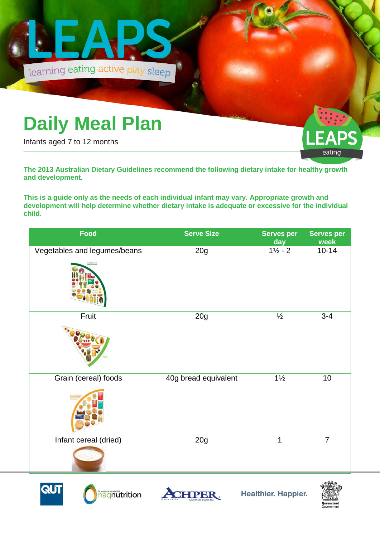

## **Daily Meal Plan**

Infants aged 7 to 12 months



**The 2013 Australian Dietary Guidelines recommend the following dietary intake for healthy growth and development.** 

**This is a guide only as the needs of each individual infant may vary. Appropriate growth and development will help determine whether dietary intake is adequate or excessive for the individual child.**

| Food                         | <b>Serve Size</b>    | <b>Serves per</b><br>day | <b>Serves per</b><br>week |
|------------------------------|----------------------|--------------------------|---------------------------|
| Vegetables and legumes/beans | 20g                  | $1\frac{1}{2} - 2$       | $10 - 14$                 |
| Fruit                        | 20g                  | $\frac{1}{2}$            | $3 - 4$                   |
| Grain (cereal) foods         | 40g bread equivalent | $1\frac{1}{2}$           | 10                        |
| Infant cereal (dried)        | 20g                  | $\mathbf{1}$             | $\overline{7}$            |





**Healthier. Happier.**